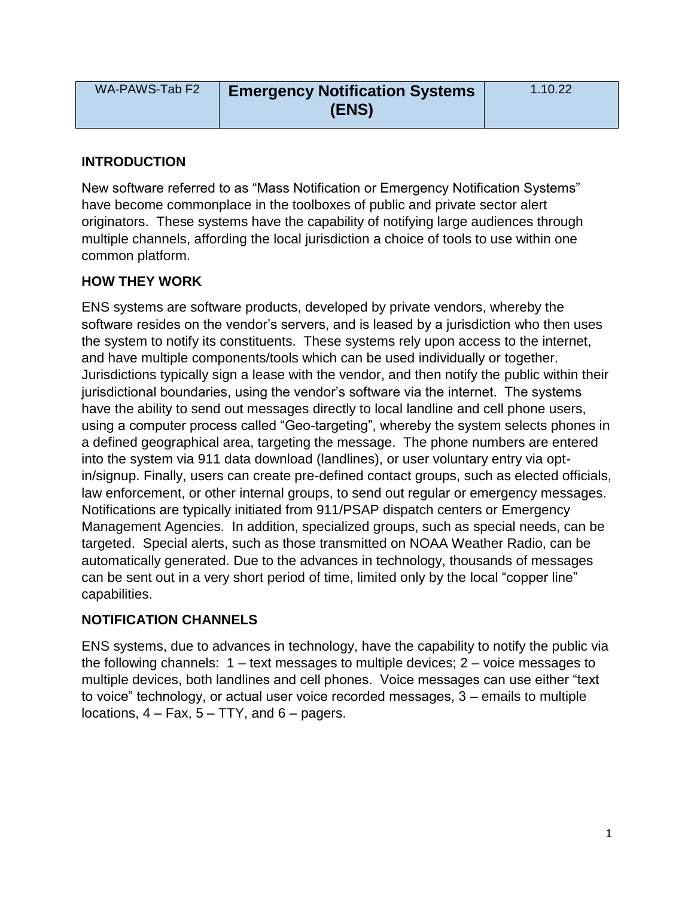| WA-PAWS-Tab F2 | <b>Emergency Notification Systems</b> | 1.10.22 |
|----------------|---------------------------------------|---------|
|                | (ENS)                                 |         |

#### **INTRODUCTION**

New software referred to as "Mass Notification or Emergency Notification Systems" have become commonplace in the toolboxes of public and private sector alert originators. These systems have the capability of notifying large audiences through multiple channels, affording the local jurisdiction a choice of tools to use within one common platform.

#### **HOW THEY WORK**

ENS systems are software products, developed by private vendors, whereby the software resides on the vendor's servers, and is leased by a jurisdiction who then uses the system to notify its constituents. These systems rely upon access to the internet, and have multiple components/tools which can be used individually or together. Jurisdictions typically sign a lease with the vendor, and then notify the public within their jurisdictional boundaries, using the vendor's software via the internet. The systems have the ability to send out messages directly to local landline and cell phone users, using a computer process called "Geo-targeting", whereby the system selects phones in a defined geographical area, targeting the message. The phone numbers are entered into the system via 911 data download (landlines), or user voluntary entry via optin/signup. Finally, users can create pre-defined contact groups, such as elected officials, law enforcement, or other internal groups, to send out regular or emergency messages. Notifications are typically initiated from 911/PSAP dispatch centers or Emergency Management Agencies. In addition, specialized groups, such as special needs, can be targeted. Special alerts, such as those transmitted on NOAA Weather Radio, can be automatically generated. Due to the advances in technology, thousands of messages can be sent out in a very short period of time, limited only by the local "copper line" capabilities.

#### **NOTIFICATION CHANNELS**

ENS systems, due to advances in technology, have the capability to notify the public via the following channels:  $1 - \text{text messages}$  to multiple devices;  $2 - \text{voice messages}$  to multiple devices, both landlines and cell phones. Voice messages can use either "text to voice" technology, or actual user voice recorded messages, 3 – emails to multiple locations,  $4 - Fax$ ,  $5 - TTY$ , and  $6 - pages$ .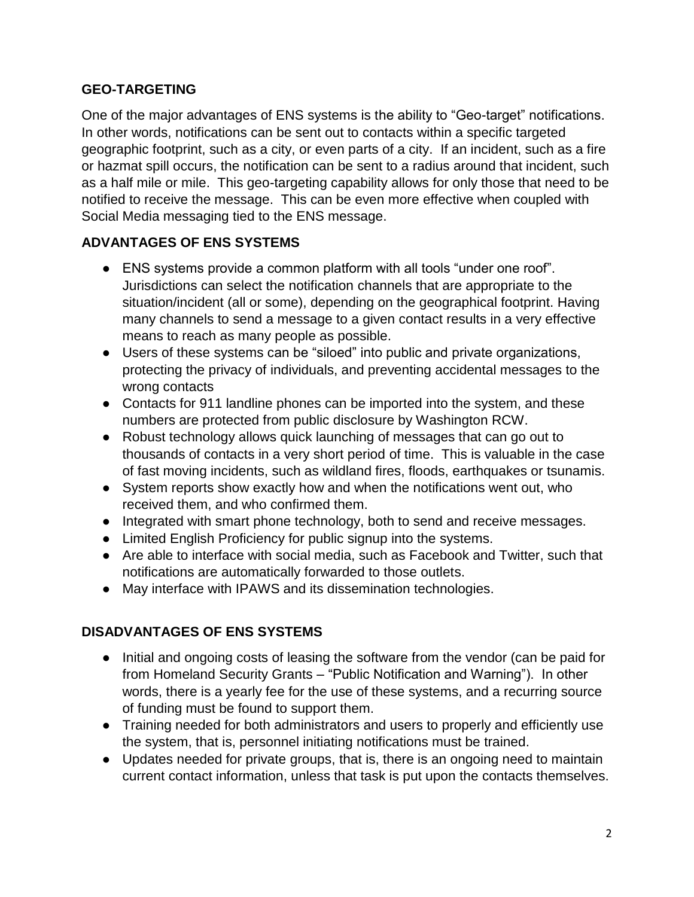## **GEO-TARGETING**

One of the major advantages of ENS systems is the ability to "Geo-target" notifications. In other words, notifications can be sent out to contacts within a specific targeted geographic footprint, such as a city, or even parts of a city. If an incident, such as a fire or hazmat spill occurs, the notification can be sent to a radius around that incident, such as a half mile or mile. This geo-targeting capability allows for only those that need to be notified to receive the message. This can be even more effective when coupled with Social Media messaging tied to the ENS message.

### **ADVANTAGES OF ENS SYSTEMS**

- ENS systems provide a common platform with all tools "under one roof". Jurisdictions can select the notification channels that are appropriate to the situation/incident (all or some), depending on the geographical footprint. Having many channels to send a message to a given contact results in a very effective means to reach as many people as possible.
- Users of these systems can be "siloed" into public and private organizations, protecting the privacy of individuals, and preventing accidental messages to the wrong contacts
- Contacts for 911 landline phones can be imported into the system, and these numbers are protected from public disclosure by Washington RCW.
- Robust technology allows quick launching of messages that can go out to thousands of contacts in a very short period of time. This is valuable in the case of fast moving incidents, such as wildland fires, floods, earthquakes or tsunamis.
- System reports show exactly how and when the notifications went out, who received them, and who confirmed them.
- Integrated with smart phone technology, both to send and receive messages.
- Limited English Proficiency for public signup into the systems.
- Are able to interface with social media, such as Facebook and Twitter, such that notifications are automatically forwarded to those outlets.
- May interface with IPAWS and its dissemination technologies.

# **DISADVANTAGES OF ENS SYSTEMS**

- Initial and ongoing costs of leasing the software from the vendor (can be paid for from Homeland Security Grants – "Public Notification and Warning"). In other words, there is a yearly fee for the use of these systems, and a recurring source of funding must be found to support them.
- Training needed for both administrators and users to properly and efficiently use the system, that is, personnel initiating notifications must be trained.
- Updates needed for private groups, that is, there is an ongoing need to maintain current contact information, unless that task is put upon the contacts themselves.